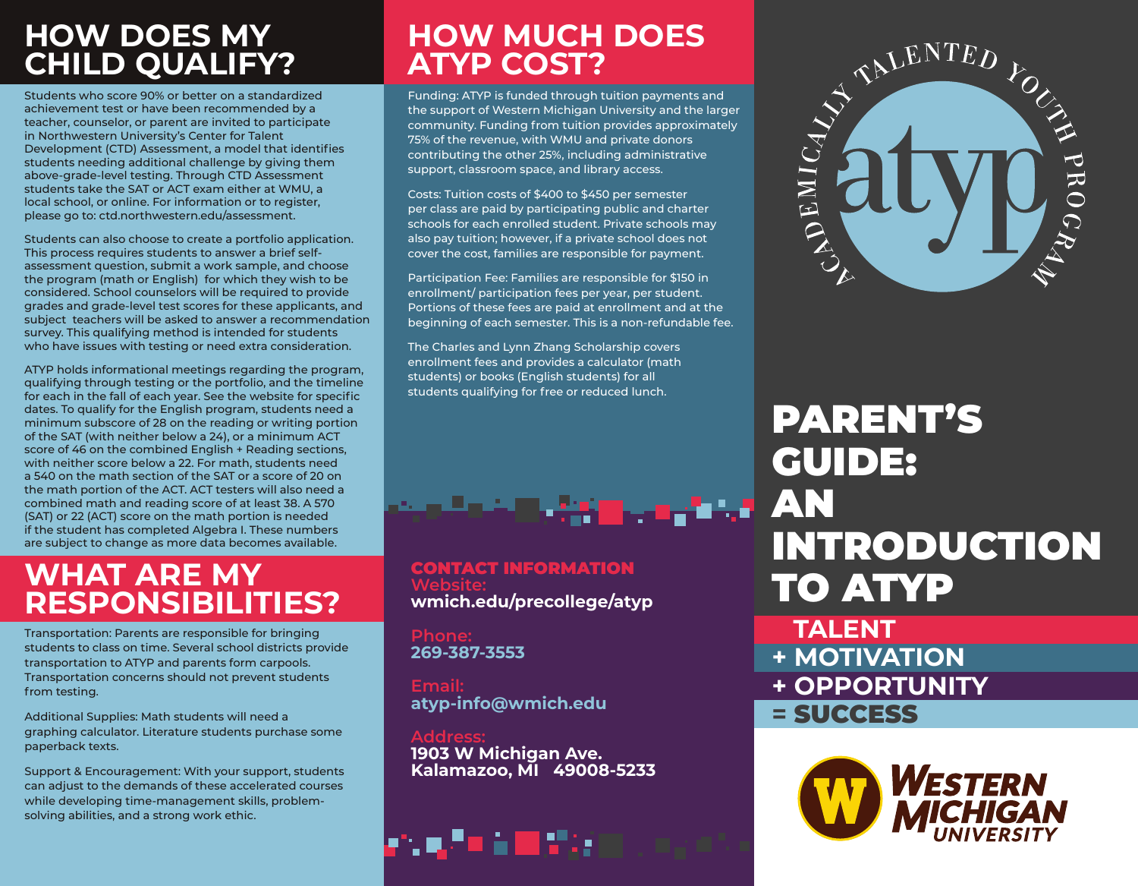## **HOW DOES MY CHILD QUALIFY?**

Students who score 90% or better on a standardized achievement test or have been recommended by a teacher, counselor, or parent are invited to participate in Northwestern University's Center for Talent Development (CTD) Assessment, a model that identifies students needing additional challenge by giving them above-grade-level testing. Through CTD Assessment students take the SAT or ACT exam either at WMU, a local school, or online. For information or to register, please go to: ctd.northwestern.edu/assessment.

Students can also choose to create a portfolio application. This process requires students to answer a brief selfassessment question, submit a work sample, and choose the program (math or English) for which they wish to be considered. School counselors will be required to provide grades and grade-level test scores for these applicants, and subject teachers will be asked to answer a recommendation survey. This qualifying method is intended for students who have issues with testing or need extra consideration.

ATYP holds informational meetings regarding the program, qualifying through testing or the portfolio, and the timeline for each in the fall of each year. See the website for specific dates. To qualify for the English program, students need a minimum subscore of 28 on the reading or writing portion of the SAT (with neither below a 24), or a minimum ACT score of 46 on the combined English + Reading sections, with neither score below a 22. For math, students need a 540 on the math section of the SAT or a score of 20 on the math portion of the ACT. ACT testers will also need a combined math and reading score of at least 38. A 570 (SAT) or 22 (ACT) score on the math portion is needed if the student has completed Algebra I. These numbers are subject to change as more data becomes available.

## **WHAT ARE MY RESPONSIBILITIES?**

Transportation: Parents are responsible for bringing students to class on time. Several school districts provide transportation to ATYP and parents form carpools. Transportation concerns should not prevent students from testing.

Additional Supplies: Math students will need a graphing calculator. Literature students purchase some paperback texts.

Support & Encouragement: With your support, students can adjust to the demands of these accelerated courses while developing time-management skills, problemsolving abilities, and a strong work ethic.

## **HOW MUCH DOES ATYP COST?**

Funding: ATYP is funded through tuition payments and the support of Western Michigan University and the larger community. Funding from tuition provides approximately 75% of the revenue, with WMU and private donors contributing the other 25%, including administrative support, classroom space, and library access.

Costs: Tuition costs of \$400 to \$450 per semester per class are paid by participating public and charter schools for each enrolled student. Private schools may also pay tuition; however, if a private school does not cover the cost, families are responsible for payment.

Participation Fee: Families are responsible for \$150 in enrollment/ participation fees per year, per student. Portions of these fees are paid at enrollment and at the beginning of each semester. This is a non-refundable fee.

The Charles and Lynn Zhang Scholarship covers enrollment fees and provides a calculator (math students) or books (English students) for all students qualifying for free or reduced lunch.



CONTACT INFORMATION **Website: wmich.edu/precollege/atyp**

**Phone: 269-387-3553**

**Email: atyp-info@wmich.edu**

**Address: 1903 W Michigan Ave. Kalamazoo, MI 49008-5233**





# PARENT'S GUIDE: AN INTRODUCTION TO ATYP

 **TALENT + MOTIVATION + OPPORTUNITY =** SUCCESS